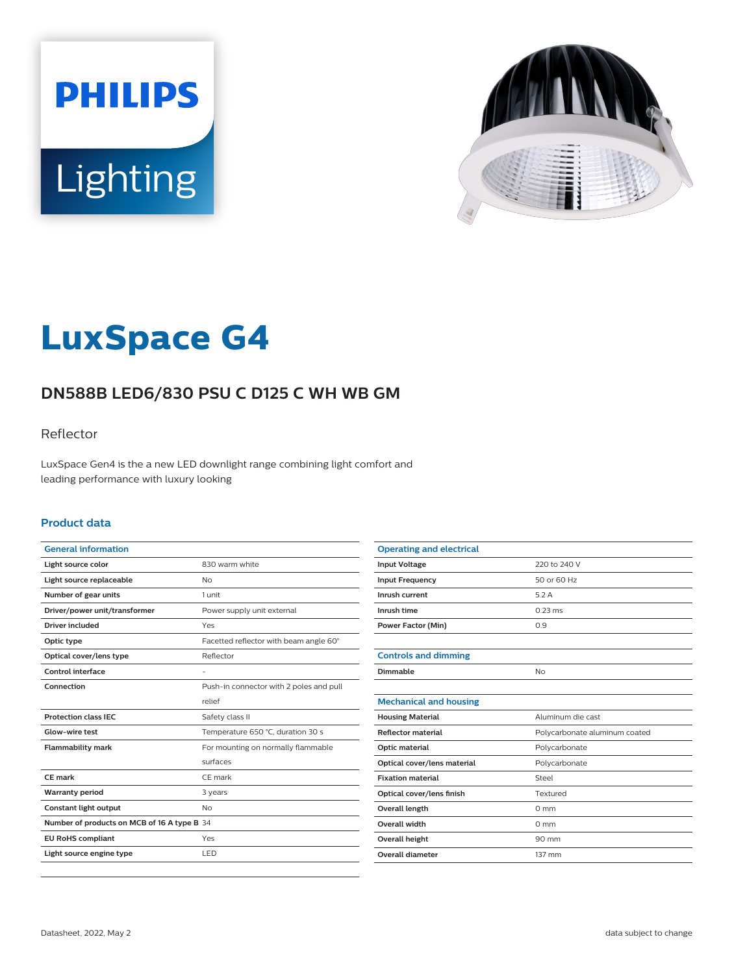



# **LuxSpace G4**

# **DN588B LED6/830 PSU C D125 C WH WB GM**

### Reflector

LuxSpace Gen4 is the a new LED downlight range combining light comfort and leading performance with luxury looking

#### **Product data**

| <b>General information</b>                  |                                         |
|---------------------------------------------|-----------------------------------------|
| Light source color                          | 830 warm white                          |
| Light source replaceable                    | <b>No</b>                               |
| Number of gear units                        | 1 unit                                  |
| Driver/power unit/transformer               | Power supply unit external              |
| Driver included                             | Yes                                     |
| Optic type                                  | Facetted reflector with beam angle 60°  |
| Optical cover/lens type                     | Reflector                               |
| Control interface                           |                                         |
| Connection                                  | Push-in connector with 2 poles and pull |
|                                             | relief                                  |
| <b>Protection class IEC</b>                 | Safety class II                         |
| Glow-wire test                              | Temperature 650 °C, duration 30 s       |
| <b>Flammability mark</b>                    | For mounting on normally flammable      |
|                                             | surfaces                                |
| <b>CE</b> mark                              | CE mark                                 |
| <b>Warranty period</b>                      | 3 years                                 |
| Constant light output                       | <b>No</b>                               |
| Number of products on MCB of 16 A type B 34 |                                         |
| <b>EU RoHS compliant</b>                    | Yes                                     |
| Light source engine type                    | LED                                     |
|                                             |                                         |

| <b>Operating and electrical</b> |                               |
|---------------------------------|-------------------------------|
| <b>Input Voltage</b>            | 220 to 240 V                  |
| <b>Input Frequency</b>          | 50 or 60 Hz                   |
| Inrush current                  | 5.2A                          |
| Inrush time                     | $0.23 \text{ ms}$             |
| <b>Power Factor (Min)</b>       | 0.9                           |
|                                 |                               |
| <b>Controls and dimming</b>     |                               |
| Dimmable                        | No                            |
|                                 |                               |
| <b>Mechanical and housing</b>   |                               |
| <b>Housing Material</b>         | Aluminum die cast             |
| <b>Reflector material</b>       | Polycarbonate aluminum coated |
| Optic material                  | Polycarbonate                 |
| Optical cover/lens material     | Polycarbonate                 |
| <b>Fixation material</b>        | Steel                         |
| Optical cover/lens finish       | Textured                      |
| <b>Overall length</b>           | $0 \text{ mm}$                |
| <b>Overall width</b>            | $0 \text{ mm}$                |
| <b>Overall height</b>           | 90 mm                         |
| Overall diameter                | 137 mm                        |
|                                 |                               |